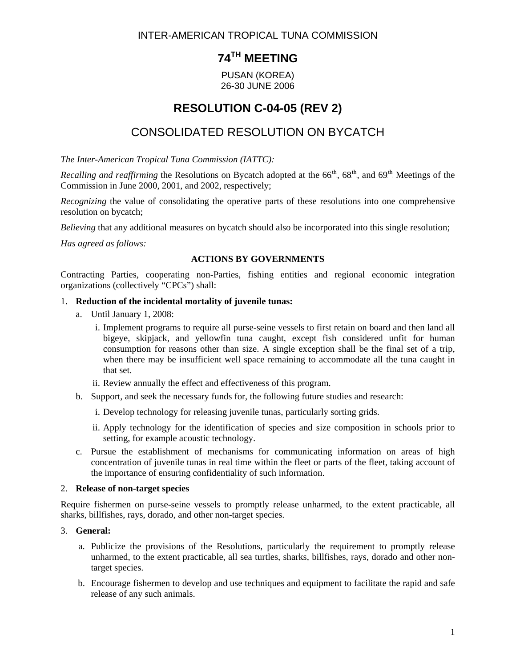INTER-AMERICAN TROPICAL TUNA COMMISSION

# **74TH MEETING**

PUSAN (KOREA) 26-30 JUNE 2006

## **RESOLUTION C-04-05 (REV 2)**

## CONSOLIDATED RESOLUTION ON BYCATCH

*The Inter-American Tropical Tuna Commission (IATTC):* 

*Recalling and reaffirming* the Resolutions on Bycatch adopted at the  $66<sup>th</sup>$ ,  $68<sup>th</sup>$ , and  $69<sup>th</sup>$  Meetings of the Commission in June 2000, 2001, and 2002, respectively;

*Recognizing* the value of consolidating the operative parts of these resolutions into one comprehensive resolution on bycatch;

*Believing* that any additional measures on bycatch should also be incorporated into this single resolution;

*Has agreed as follows:* 

## **ACTIONS BY GOVERNMENTS**

Contracting Parties, cooperating non-Parties, fishing entities and regional economic integration organizations (collectively "CPCs") shall:

#### 1. **Reduction of the incidental mortality of juvenile tunas:**

- a. Until January 1, 2008:
	- i. Implement programs to require all purse-seine vessels to first retain on board and then land all bigeye, skipjack, and yellowfin tuna caught, except fish considered unfit for human consumption for reasons other than size. A single exception shall be the final set of a trip, when there may be insufficient well space remaining to accommodate all the tuna caught in that set.
	- ii. Review annually the effect and effectiveness of this program.
- b. Support, and seek the necessary funds for, the following future studies and research:
	- i. Develop technology for releasing juvenile tunas, particularly sorting grids.
	- ii. Apply technology for the identification of species and size composition in schools prior to setting, for example acoustic technology.
- c. Pursue the establishment of mechanisms for communicating information on areas of high concentration of juvenile tunas in real time within the fleet or parts of the fleet, taking account of the importance of ensuring confidentiality of such information.

## 2. **Release of non-target species**

Require fishermen on purse-seine vessels to promptly release unharmed, to the extent practicable, all sharks, billfishes, rays, dorado, and other non-target species.

## 3. **General:**

- a. Publicize the provisions of the Resolutions, particularly the requirement to promptly release unharmed, to the extent practicable, all sea turtles, sharks, billfishes, rays, dorado and other nontarget species.
- b. Encourage fishermen to develop and use techniques and equipment to facilitate the rapid and safe release of any such animals.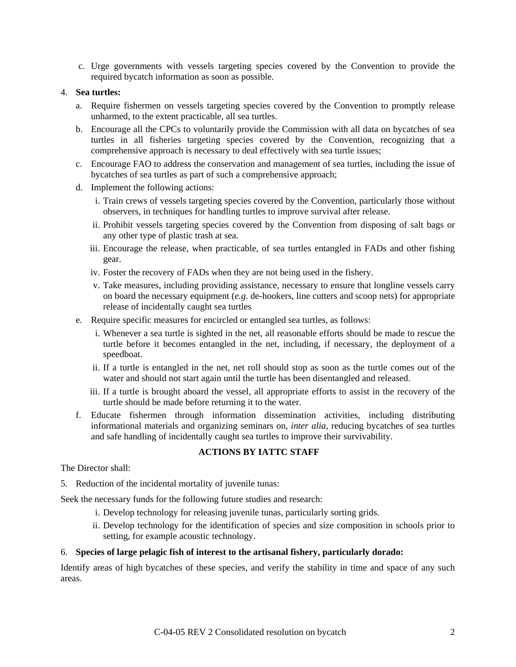c. Urge governments with vessels targeting species covered by the Convention to provide the required bycatch information as soon as possible.

#### 4. **Sea turtles:**

- a. Require fishermen on vessels targeting species covered by the Convention to promptly release unharmed, to the extent practicable, all sea turtles.
- b. Encourage all the CPCs to voluntarily provide the Commission with all data on bycatches of sea turtles in all fisheries targeting species covered by the Convention, recognizing that a comprehensive approach is necessary to deal effectively with sea turtle issues;
- c. Encourage FAO to address the conservation and management of sea turtles, including the issue of bycatches of sea turtles as part of such a comprehensive approach;
- d. Implement the following actions:
	- i. Train crews of vessels targeting species covered by the Convention, particularly those without observers, in techniques for handling turtles to improve survival after release.
	- ii. Prohibit vessels targeting species covered by the Convention from disposing of salt bags or any other type of plastic trash at sea.
	- iii. Encourage the release, when practicable, of sea turtles entangled in FADs and other fishing gear.
	- iv. Foster the recovery of FADs when they are not being used in the fishery.
	- v. Take measures, including providing assistance, necessary to ensure that longline vessels carry on board the necessary equipment (*e.g.* de-hookers, line cutters and scoop nets) for appropriate release of incidentally caught sea turtles
- e. Require specific measures for encircled or entangled sea turtles, as follows:
	- i. Whenever a sea turtle is sighted in the net, all reasonable efforts should be made to rescue the turtle before it becomes entangled in the net, including, if necessary, the deployment of a speedboat.
	- ii. If a turtle is entangled in the net, net roll should stop as soon as the turtle comes out of the water and should not start again until the turtle has been disentangled and released.
	- iii. If a turtle is brought aboard the vessel, all appropriate efforts to assist in the recovery of the turtle should be made before returning it to the water.
- f. Educate fishermen through information dissemination activities, including distributing informational materials and organizing seminars on, *inter alia*, reducing bycatches of sea turtles and safe handling of incidentally caught sea turtles to improve their survivability.

## **ACTIONS BY IATTC STAFF**

The Director shall:

5. Reduction of the incidental mortality of juvenile tunas:

Seek the necessary funds for the following future studies and research:

- i. Develop technology for releasing juvenile tunas, particularly sorting grids.
- ii. Develop technology for the identification of species and size composition in schools prior to setting, for example acoustic technology.

#### 6. **Species of large pelagic fish of interest to the artisanal fishery, particularly dorado:**

Identify areas of high bycatches of these species, and verify the stability in time and space of any such areas.